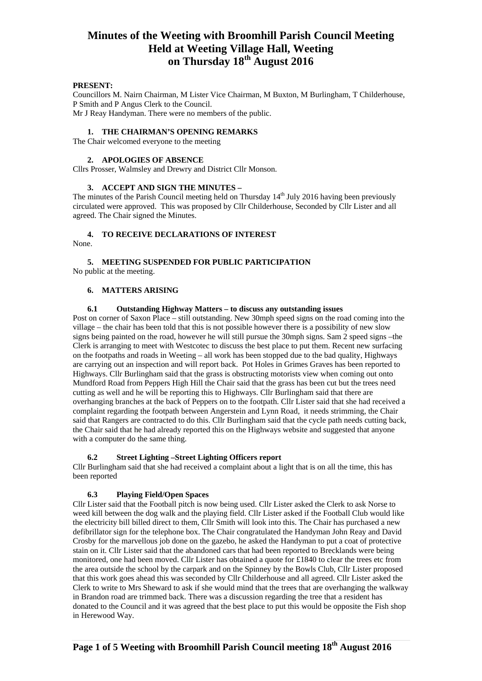#### **PRESENT:**

Councillors M. Nairn Chairman, M Lister Vice Chairman, M Buxton, M Burlingham, T Childerhouse, P Smith and P Angus Clerk to the Council. Mr J Reay Handyman. There were no members of the public.

#### **1. THE CHAIRMAN'S OPENING REMARKS**

The Chair welcomed everyone to the meeting

#### **2. APOLOGIES OF ABSENCE**

Cllrs Prosser, Walmsley and Drewry and District Cllr Monson.

#### **3. ACCEPT AND SIGN THE MINUTES –**

The minutes of the Parish Council meeting held on Thursday 14<sup>th</sup> July 2016 having been previously circulated were approved. This was proposed by Cllr Childerhouse, Seconded by Cllr Lister and all agreed. The Chair signed the Minutes.

## **4. TO RECEIVE DECLARATIONS OF INTEREST**

None.

## **5. MEETING SUSPENDED FOR PUBLIC PARTICIPATION**

No public at the meeting.

#### **6. MATTERS ARISING**

#### **6.1 Outstanding Highway Matters – to discuss any outstanding issues**

Post on corner of Saxon Place – still outstanding. New 30mph speed signs on the road coming into the village – the chair has been told that this is not possible however there is a possibility of new slow signs being painted on the road, however he will still pursue the 30mph signs. Sam 2 speed signs –the Clerk is arranging to meet with Westcotec to discuss the best place to put them. Recent new surfacing on the footpaths and roads in Weeting – all work has been stopped due to the bad quality, Highways are carrying out an inspection and will report back. Pot Holes in Grimes Graves has been reported to Highways. Cllr Burlingham said that the grass is obstructing motorists view when coming out onto Mundford Road from Peppers High Hill the Chair said that the grass has been cut but the trees need cutting as well and he will be reporting this to Highways. Cllr Burlingham said that there are overhanging branches at the back of Peppers on to the footpath. Cllr Lister said that she had received a complaint regarding the footpath between Angerstein and Lynn Road, it needs strimming, the Chair said that Rangers are contracted to do this. Cllr Burlingham said that the cycle path needs cutting back, the Chair said that he had already reported this on the Highways website and suggested that anyone with a computer do the same thing.

#### **6.2 Street Lighting –Street Lighting Officers report**

Cllr Burlingham said that she had received a complaint about a light that is on all the time, this has been reported

#### **6.3 Playing Field/Open Spaces**

Cllr Lister said that the Football pitch is now being used. Cllr Lister asked the Clerk to ask Norse to weed kill between the dog walk and the playing field. Cllr Lister asked if the Football Club would like the electricity bill billed direct to them, Cllr Smith will look into this. The Chair has purchased a new defibrillator sign for the telephone box. The Chair congratulated the Handyman John Reay and David Crosby for the marvellous job done on the gazebo, he asked the Handyman to put a coat of protective stain on it. Cllr Lister said that the abandoned cars that had been reported to Brecklands were being monitored, one had been moved. Cllr Lister has obtained a quote for £1840 to clear the trees etc from the area outside the school by the carpark and on the Spinney by the Bowls Club, Cllr Lister proposed that this work goes ahead this was seconded by Cllr Childerhouse and all agreed. Cllr Lister asked the Clerk to write to Mrs Sheward to ask if she would mind that the trees that are overhanging the walkway in Brandon road are trimmed back. There was a discussion regarding the tree that a resident has donated to the Council and it was agreed that the best place to put this would be opposite the Fish shop in Herewood Way.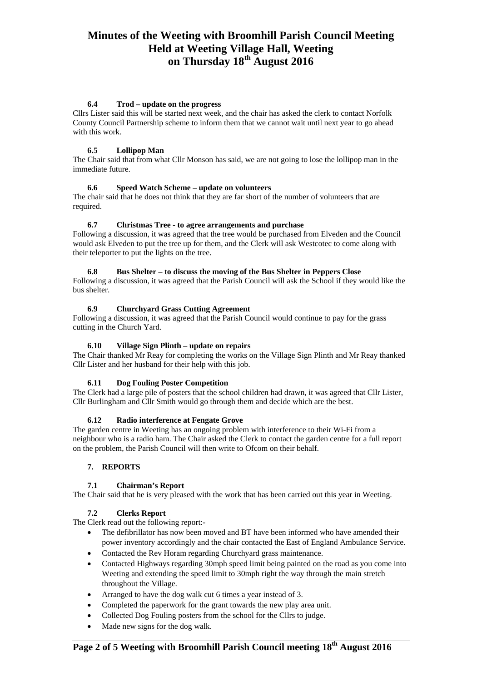## **6.4 Trod – update on the progress**

Cllrs Lister said this will be started next week, and the chair has asked the clerk to contact Norfolk County Council Partnership scheme to inform them that we cannot wait until next year to go ahead with this work.

### **6.5 Lollipop Man**

The Chair said that from what Cllr Monson has said, we are not going to lose the lollipop man in the immediate future.

#### **6.6 Speed Watch Scheme – update on volunteers**

The chair said that he does not think that they are far short of the number of volunteers that are required.

#### **6.7 Christmas Tree - to agree arrangements and purchase**

Following a discussion, it was agreed that the tree would be purchased from Elveden and the Council would ask Elveden to put the tree up for them, and the Clerk will ask Westcotec to come along with their teleporter to put the lights on the tree.

#### **6.8 Bus Shelter – to discuss the moving of the Bus Shelter in Peppers Close**

Following a discussion, it was agreed that the Parish Council will ask the School if they would like the bus shelter.

### **6.9 Churchyard Grass Cutting Agreement**

Following a discussion, it was agreed that the Parish Council would continue to pay for the grass cutting in the Church Yard.

#### **6.10 Village Sign Plinth – update on repairs**

The Chair thanked Mr Reay for completing the works on the Village Sign Plinth and Mr Reay thanked Cllr Lister and her husband for their help with this job.

#### **6.11 Dog Fouling Poster Competition**

The Clerk had a large pile of posters that the school children had drawn, it was agreed that Cllr Lister, Cllr Burlingham and Cllr Smith would go through them and decide which are the best.

#### **6.12 Radio interference at Fengate Grove**

The garden centre in Weeting has an ongoing problem with interference to their Wi-Fi from a neighbour who is a radio ham. The Chair asked the Clerk to contact the garden centre for a full report on the problem, the Parish Council will then write to Ofcom on their behalf.

## **7. REPORTS**

#### **7.1 Chairman's Report**

The Chair said that he is very pleased with the work that has been carried out this year in Weeting.

#### **7.2 Clerks Report**

The Clerk read out the following report:-

- The defibrillator has now been moved and BT have been informed who have amended their power inventory accordingly and the chair contacted the East of England Ambulance Service.
- Contacted the Rev Horam regarding Churchyard grass maintenance.
- Contacted Highways regarding 30mph speed limit being painted on the road as you come into Weeting and extending the speed limit to 30mph right the way through the main stretch throughout the Village.
- Arranged to have the dog walk cut 6 times a year instead of 3.
- Completed the paperwork for the grant towards the new play area unit.
- Collected Dog Fouling posters from the school for the Cllrs to judge.
- Made new signs for the dog walk.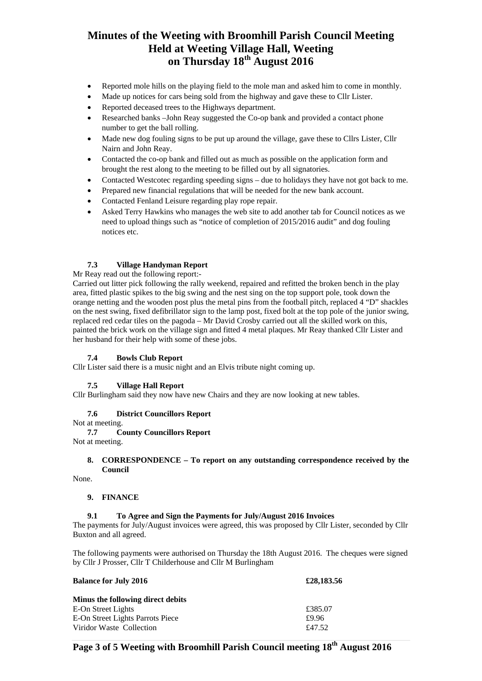- Reported mole hills on the playing field to the mole man and asked him to come in monthly.
- Made up notices for cars being sold from the highway and gave these to Cllr Lister.
- Reported deceased trees to the Highways department.
- Researched banks –John Reay suggested the Co-op bank and provided a contact phone number to get the ball rolling.
- Made new dog fouling signs to be put up around the village, gave these to Cllrs Lister, Cllr Nairn and John Reay.
- Contacted the co-op bank and filled out as much as possible on the application form and brought the rest along to the meeting to be filled out by all signatories.
- Contacted Westcotec regarding speeding signs due to holidays they have not got back to me.
- Prepared new financial regulations that will be needed for the new bank account.
- Contacted Fenland Leisure regarding play rope repair.
- Asked Terry Hawkins who manages the web site to add another tab for Council notices as we need to upload things such as "notice of completion of 2015/2016 audit" and dog fouling notices etc.

## **7.3 Village Handyman Report**

Mr Reay read out the following report:-

Carried out litter pick following the rally weekend, repaired and refitted the broken bench in the play area, fitted plastic spikes to the big swing and the nest sing on the top support pole, took down the orange netting and the wooden post plus the metal pins from the football pitch, replaced 4 "D" shackles on the nest swing, fixed defibrillator sign to the lamp post, fixed bolt at the top pole of the junior swing, replaced red cedar tiles on the pagoda – Mr David Crosby carried out all the skilled work on this, painted the brick work on the village sign and fitted 4 metal plaques. Mr Reay thanked Cllr Lister and her husband for their help with some of these jobs.

#### **7.4 Bowls Club Report**

Cllr Lister said there is a music night and an Elvis tribute night coming up.

## **7.5 Village Hall Report**

Cllr Burlingham said they now have new Chairs and they are now looking at new tables.

#### **7.6 District Councillors Report**

Not at meeting.<br> $7.7 \text{ C}$ 

#### **7.7 County Councillors Report**

Not at meeting.

#### **8. CORRESPONDENCE – To report on any outstanding correspondence received by the Council**

None.

#### **9. FINANCE**

#### **9.1 To Agree and Sign the Payments for July/August 2016 Invoices**

The payments for July/August invoices were agreed, this was proposed by Cllr Lister, seconded by Cllr Buxton and all agreed.

The following payments were authorised on Thursday the 18th August 2016. The cheques were signed by Cllr J Prosser, Cllr T Childerhouse and Cllr M Burlingham

| £28,183.56 |
|------------|
|            |
| £385.07    |
| £9.96      |
| £47.52     |
|            |

Page 3 of 5 Weeting with Broomhill Parish Council meeting  $18<sup>th</sup>$  August 2016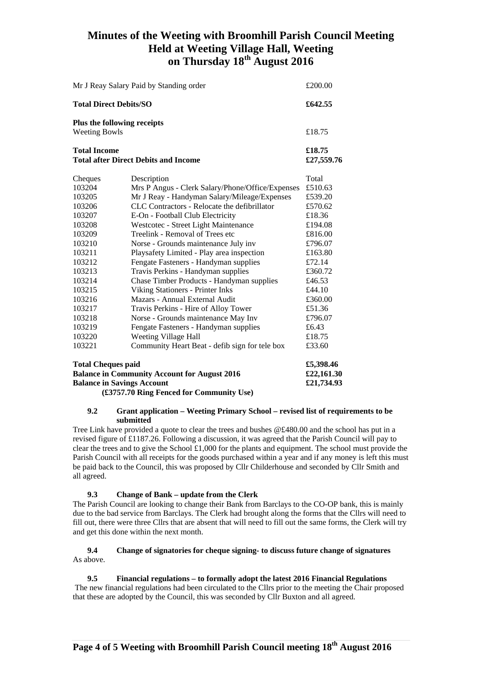| Mr J Reay Salary Paid by Standing order             |                                                  | £200.00              |
|-----------------------------------------------------|--------------------------------------------------|----------------------|
| <b>Total Direct Debits/SO</b>                       |                                                  | £642.55              |
| <b>Weeting Bowls</b>                                | Plus the following receipts                      | £18.75               |
| <b>Total Income</b>                                 | <b>Total after Direct Debits and Income</b>      | £18.75<br>£27,559.76 |
| Cheques                                             | Description                                      | Total                |
| 103204                                              | Mrs P Angus - Clerk Salary/Phone/Office/Expenses | £510.63              |
| 103205                                              | Mr J Reay - Handyman Salary/Mileage/Expenses     | £539.20              |
| 103206                                              | CLC Contractors - Relocate the defibrillator     | £570.62              |
| 103207                                              | E-On - Football Club Electricity                 | £18.36               |
| 103208                                              | Westcotec - Street Light Maintenance             | £194.08              |
| 103209                                              | Treelink - Removal of Trees etc                  | £816.00              |
| 103210                                              | Norse - Grounds maintenance July inv             | £796.07              |
| 103211                                              | Playsafety Limited - Play area inspection        | £163.80              |
| 103212                                              | Fengate Fasteners - Handyman supplies            | £72.14               |
| 103213                                              | Travis Perkins - Handyman supplies               | £360.72              |
| 103214                                              | Chase Timber Products - Handyman supplies        | £46.53               |
| 103215                                              | <b>Viking Stationers - Printer Inks</b>          | £44.10               |
| 103216                                              | Mazars - Annual External Audit                   | £360.00              |
| 103217                                              | Travis Perkins - Hire of Alloy Tower             | £51.36               |
| 103218                                              | Norse - Grounds maintenance May Inv              | £796.07              |
| 103219                                              | Fengate Fasteners - Handyman supplies            | £6.43                |
| 103220                                              | Weeting Village Hall                             | £18.75               |
| 103221                                              | Community Heart Beat - defib sign for tele box   | £33.60               |
| <b>Total Cheques paid</b>                           |                                                  | £5,398.46            |
| <b>Balance in Community Account for August 2016</b> |                                                  |                      |
| <b>Balance in Savings Account</b>                   |                                                  |                      |

 **(£3757.70 Ring Fenced for Community Use)** 

#### **9.2 Grant application – Weeting Primary School – revised list of requirements to be submitted**

Tree Link have provided a quote to clear the trees and bushes @£480.00 and the school has put in a revised figure of £1187.26. Following a discussion, it was agreed that the Parish Council will pay to clear the trees and to give the School £1,000 for the plants and equipment. The school must provide the Parish Council with all receipts for the goods purchased within a year and if any money is left this must be paid back to the Council, this was proposed by Cllr Childerhouse and seconded by Cllr Smith and all agreed.

## **9.3 Change of Bank – update from the Clerk**

The Parish Council are looking to change their Bank from Barclays to the CO-OP bank, this is mainly due to the bad service from Barclays. The Clerk had brought along the forms that the Cllrs will need to fill out, there were three Cllrs that are absent that will need to fill out the same forms, the Clerk will try and get this done within the next month.

## **9.4 Change of signatories for cheque signing- to discuss future change of signatures**  As above.

## **9.5 Financial regulations – to formally adopt the latest 2016 Financial Regulations**  The new financial regulations had been circulated to the Cllrs prior to the meeting the Chair proposed that these are adopted by the Council, this was seconded by Cllr Buxton and all agreed.